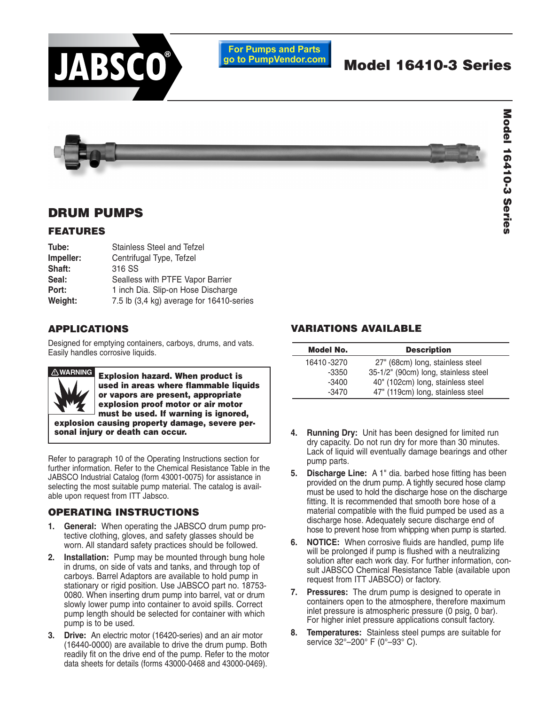

### **For Pumps and Parts** go to PumpVendor.com

# **Model 16410-3 Series**

Model 16410-3 Series **Model 16410-3 Series**

## **DRUM PUMPS**

## **FEATURES**

| Tube:     | Stainless Steel and Tefzel               |  |  |  |  |
|-----------|------------------------------------------|--|--|--|--|
| Impeller: | Centrifugal Type, Tefzel                 |  |  |  |  |
| Shaft:    | 316 SS                                   |  |  |  |  |
| Seal:     | Sealless with PTFE Vapor Barrier         |  |  |  |  |
| Port:     | 1 inch Dia. Slip-on Hose Discharge       |  |  |  |  |
| Weight:   | 7.5 lb (3,4 kg) average for 16410-series |  |  |  |  |

## **APPLICATIONS**

Designed for emptying containers, carboys, drums, and vats. Easily handles corrosive liquids.



**Explosion hazard. When product is used in areas where flammable liquids or vapors are present, appropriate explosion proof motor or air motor must be used. If warning is ignored, explosion causing property damage, severe per-**

**sonal injury or death can occur.**

Refer to paragraph 10 of the Operating Instructions section for further information. Refer to the Chemical Resistance Table in the JABSCO Industrial Catalog (form 43001-0075) for assistance in selecting the most suitable pump material. The catalog is available upon request from ITT Jabsco.

## **OPERATING INSTRUCTIONS**

- **1. General:** When operating the JABSCO drum pump protective clothing, gloves, and safety glasses should be worn. All standard safety practices should be followed.
- **2. Installation:** Pump may be mounted through bung hole in drums, on side of vats and tanks, and through top of carboys. Barrel Adaptors are available to hold pump in stationary or rigid position. Use JABSCO part no. 18753- 0080. When inserting drum pump into barrel, vat or drum slowly lower pump into container to avoid spills. Correct pump length should be selected for container with which pump is to be used.
- **3. Drive:** An electric motor (16420-series) and an air motor (16440-0000) are available to drive the drum pump. Both readily fit on the drive end of the pump. Refer to the motor data sheets for details (forms 43000-0468 and 43000-0469).

## **VARIATIONS AVAILABLE**

| <b>Model No.</b> | <b>Description</b>                   |
|------------------|--------------------------------------|
| 16410-3270       | 27" (68cm) long, stainless steel     |
| -3350            | 35-1/2" (90cm) long, stainless steel |
| $-3400$          | 40" (102cm) long, stainless steel    |
| $-3470$          | 47" (119cm) long, stainless steel    |

- **4. Running Dry:** Unit has been designed for limited run dry capacity. Do not run dry for more than 30 minutes. Lack of liquid will eventually damage bearings and other pump parts.
- **5. Discharge Line:** A 1" dia. barbed hose fitting has been provided on the drum pump. A tightly secured hose clamp must be used to hold the discharge hose on the discharge fitting. It is recommended that smooth bore hose of a material compatible with the fluid pumped be used as a discharge hose. Adequately secure discharge end of hose to prevent hose from whipping when pump is started.
- **6. NOTICE:** When corrosive fluids are handled, pump life will be prolonged if pump is flushed with a neutralizing solution after each work day. For further information, consult JABSCO Chemical Resistance Table (available upon request from ITT JABSCO) or factory.
- **7. Pressures:** The drum pump is designed to operate in containers open to the atmosphere, therefore maximum inlet pressure is atmospheric pressure (0 psig, 0 bar). For higher inlet pressure applications consult factory.
- **8. Temperatures:** Stainless steel pumps are suitable for service 32°–200° F (0°–93° C).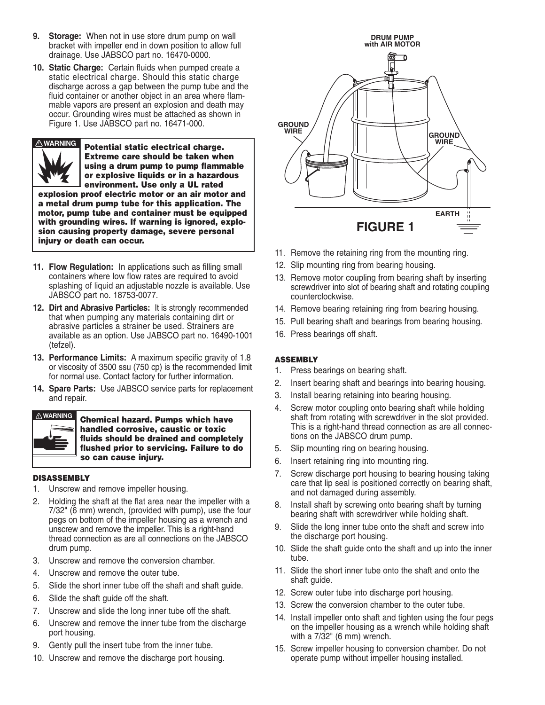- **9. Storage:** When not in use store drum pump on wall bracket with impeller end in down position to allow full drainage. Use JABSCO part no. 16470-0000.
- **10. Static Charge:** Certain fluids when pumped create a static electrical charge. Should this static charge discharge across a gap between the pump tube and the fluid container or another object in an area where flammable vapors are present an explosion and death may occur. Grounding wires must be attached as shown in Figure 1. Use JABSCO part no. 16471-000.



**Potential static electrical charge. Extreme care should be taken when using a drum pump to pump flammable or explosive liquids or in a hazardous environment. Use only a UL rated explosion proof electric motor or an air motor and a metal drum pump tube for this application. The**

**motor, pump tube and container must be equipped with grounding wires. If warning is ignored, explosion causing property damage, severe personal injury or death can occur.**

- **11. Flow Regulation:** In applications such as filling small containers where low flow rates are required to avoid splashing of liquid an adjustable nozzle is available. Use JABSCO part no. 18753-0077.
- **12. Dirt and Abrasive Particles:** It is strongly recommended that when pumping any materials containing dirt or abrasive particles a strainer be used. Strainers are available as an option. Use JABSCO part no. 16490-1001 (tefzel).
- **13. Performance Limits:** A maximum specific gravity of 1.8 or viscosity of 3500 ssu (750 cp) is the recommended limit for normal use. Contact factory for further information.
- **14. Spare Parts:** Use JABSCO service parts for replacement and repair.



**Chemical hazard. Pumps which have handled corrosive, caustic or toxic fluids should be drained and completely flushed prior to servicing. Failure to do so can cause injury.**

#### **DISASSEMBLY**

- 1. Unscrew and remove impeller housing.
- 2. Holding the shaft at the flat area near the impeller with a 7/32" (6 mm) wrench, (provided with pump), use the four pegs on bottom of the impeller housing as a wrench and unscrew and remove the impeller. This is a right-hand thread connection as are all connections on the JABSCO drum pump.
- 3. Unscrew and remove the conversion chamber.
- 4. Unscrew and remove the outer tube.
- 5. Slide the short inner tube off the shaft and shaft guide.
- 6. Slide the shaft guide off the shaft.
- 7. Unscrew and slide the long inner tube off the shaft.
- 6. Unscrew and remove the inner tube from the discharge port housing.
- 9. Gently pull the insert tube from the inner tube.
- 10. Unscrew and remove the discharge port housing.



- 11. Remove the retaining ring from the mounting ring.
- 12. Slip mounting ring from bearing housing.
- 13. Remove motor coupling from bearing shaft by inserting screwdriver into slot of bearing shaft and rotating coupling counterclockwise.
- 14. Remove bearing retaining ring from bearing housing.
- 15. Pull bearing shaft and bearings from bearing housing.
- 16. Press bearings off shaft.

#### **ASSEMBLY**

- 1. Press bearings on bearing shaft.
- 2. Insert bearing shaft and bearings into bearing housing.
- 3. Install bearing retaining into bearing housing.
- 4. Screw motor coupling onto bearing shaft while holding shaft from rotating with screwdriver in the slot provided. This is a right-hand thread connection as are all connections on the JABSCO drum pump.
- 5. Slip mounting ring on bearing housing.
- 6. Insert retaining ring into mounting ring.
- 7. Screw discharge port housing to bearing housing taking care that lip seal is positioned correctly on bearing shaft, and not damaged during assembly.
- 8. Install shaft by screwing onto bearing shaft by turning bearing shaft with screwdriver while holding shaft.
- 9. Slide the long inner tube onto the shaft and screw into the discharge port housing.
- 10. Slide the shaft guide onto the shaft and up into the inner tube.
- 11. Slide the short inner tube onto the shaft and onto the shaft guide.
- 12. Screw outer tube into discharge port housing.
- 13. Screw the conversion chamber to the outer tube.
- 14. Install impeller onto shaft and tighten using the four pegs on the impeller housing as a wrench while holding shaft with a 7/32" (6 mm) wrench.
- 15. Screw impeller housing to conversion chamber. Do not operate pump without impeller housing installed.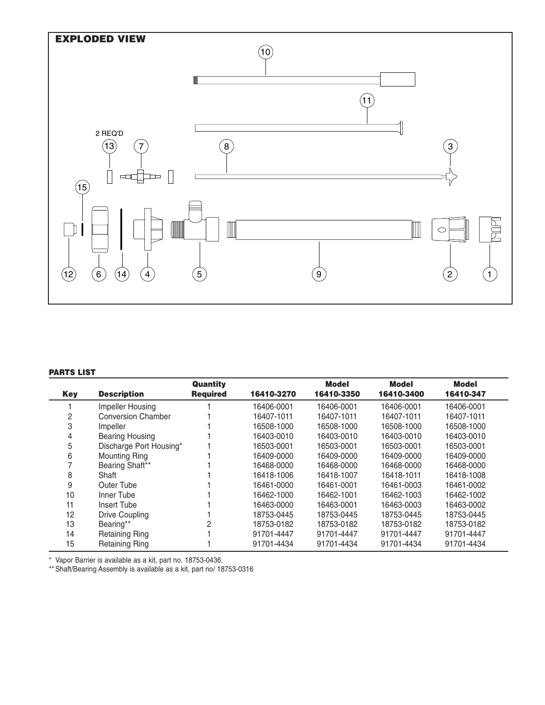

#### **PARTS LIST**

|            |                           | <b>Quantity</b> |            | Model      | <b>Model</b> | Model      |
|------------|---------------------------|-----------------|------------|------------|--------------|------------|
| <b>Key</b> | <b>Description</b>        | <b>Required</b> | 16410-3270 | 16410-3350 | 16410-3400   | 16410-347  |
|            | Impeller Housing          |                 | 16406-0001 | 16406-0001 | 16406-0001   | 16406-0001 |
| 2          | <b>Conversion Chamber</b> |                 | 16407-1011 | 16407-1011 | 16407-1011   | 16407-1011 |
| 3          | Impeller                  |                 | 16508-1000 | 16508-1000 | 16508-1000   | 16508-1000 |
| 4          | Bearing Housing           |                 | 16403-0010 | 16403-0010 | 16403-0010   | 16403-0010 |
| 5          | Discharge Port Housing*   |                 | 16503-0001 | 16503-0001 | 16503-0001   | 16503-0001 |
| 6          | Mounting Ring             |                 | 16409-0000 | 16409-0000 | 16409-0000   | 16409-0000 |
|            | Bearing Shaft**           |                 | 16468-0000 | 16468-0000 | 16468-0000   | 16468-0000 |
| 8          | Shaft                     |                 | 16418-1006 | 16418-1007 | 16418-1011   | 16418-1008 |
| 9          | Outer Tube                |                 | 16461-0000 | 16461-0001 | 16461-0003   | 16461-0002 |
| 10         | Inner Tube                |                 | 16462-1000 | 16462-1001 | 16462-1003   | 16462-1002 |
| 11         | Insert Tube               |                 | 16463-0000 | 16463-0001 | 16463-0003   | 16463-0002 |
| 12         | Drive Coupling            |                 | 18753-0445 | 18753-0445 | 18753-0445   | 18753-0445 |
| 13         | Bearing**                 | 2               | 18753-0182 | 18753-0182 | 18753-0182   | 18753-0182 |
| 14         | <b>Retaining Ring</b>     |                 | 91701-4447 | 91701-4447 | 91701-4447   | 91701-4447 |
| 15         | <b>Retaining Ring</b>     |                 | 91701-4434 | 91701-4434 | 91701-4434   | 91701-4434 |

\* Vapor Barrier is available as a kit, part no. 18753-0436.

\*\* Shaft/Bearing Assembly is available as a kit, part no/ 18753-0316